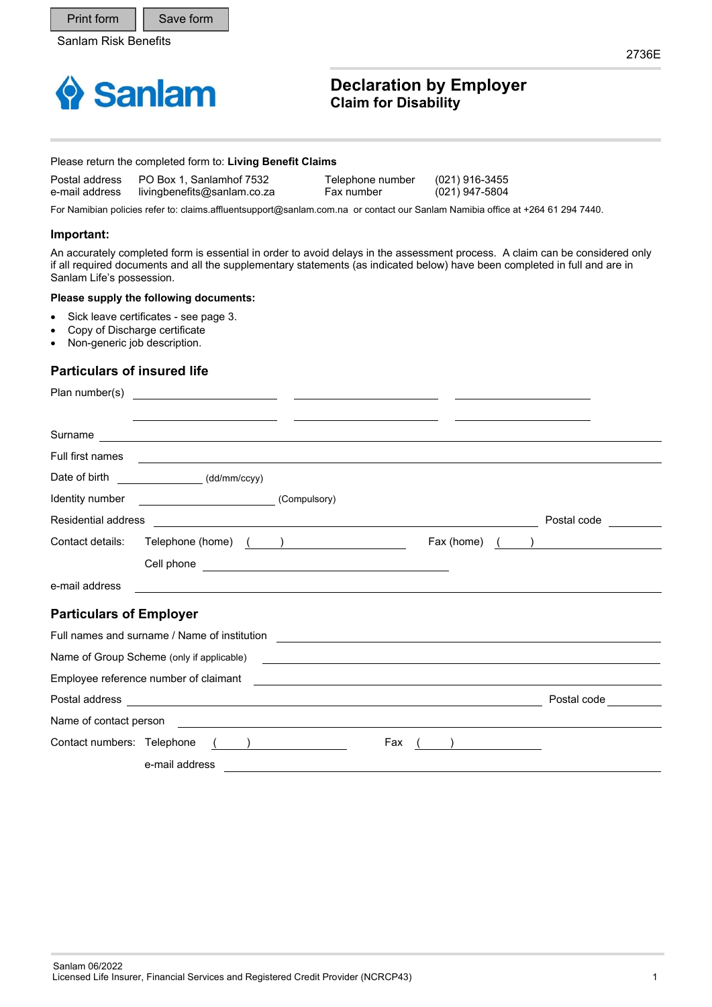Print form | Save form



# **Declaration by Employer Claim for Disability**

#### Please return the completed form to: **Living Benefit Claims**

| Postal address | PO Box 1. Sanlamhof 7532    | Telephone number | (021) 916-3455 |
|----------------|-----------------------------|------------------|----------------|
| e-mail address | livingbenefits@sanlam.co.za | Fax number       | (021) 947-5804 |

For Namibian policies refer to: claims.affluentsupport@sanlam.com.na or contact our Sanlam Namibia office at +264 61 294 7440.

### **Important:**

An accurately completed form is essential in order to avoid delays in the assessment process. A claim can be considered only if all required documents and all the supplementary statements (as indicated below) have been completed in full and are in Sanlam Life's possession.

### **Please supply the following documents:**

- Sick leave certificates see page 3.
- Copy of Discharge certificate
- Non-generic job description.

### **Particulars of insured life**

| Plan number(s)                 |                                                                                                                                                                                                                               |                                                                                                                      |     |            |                          |
|--------------------------------|-------------------------------------------------------------------------------------------------------------------------------------------------------------------------------------------------------------------------------|----------------------------------------------------------------------------------------------------------------------|-----|------------|--------------------------|
|                                | Surname example and the set of the set of the set of the set of the set of the set of the set of the set of the set of the set of the set of the set of the set of the set of the set of the set of the set of the set of the |                                                                                                                      |     |            |                          |
| Full first names               | ,我们也不会有什么。""我们的人,我们也不会有什么?""我们的人,我们也不会有什么?""我们的人,我们也不会有什么?""我们的人,我们也不会有什么?""我们的人                                                                                                                                              |                                                                                                                      |     |            |                          |
|                                | Date of birth ________________(dd/mm/ccyy)                                                                                                                                                                                    |                                                                                                                      |     |            |                          |
| Identity number                | <u> 1989 - Johann Stoff, fransk politik (</u>                                                                                                                                                                                 | (Compulsory)                                                                                                         |     |            |                          |
| Residential address            |                                                                                                                                                                                                                               |                                                                                                                      |     |            | Postal code              |
| Contact details:               | Telephone (home) $($ )                                                                                                                                                                                                        |                                                                                                                      |     | Fax (home) | $\overline{\phantom{a}}$ |
|                                |                                                                                                                                                                                                                               |                                                                                                                      |     |            |                          |
| e-mail address                 |                                                                                                                                                                                                                               |                                                                                                                      |     |            |                          |
| <b>Particulars of Employer</b> |                                                                                                                                                                                                                               |                                                                                                                      |     |            |                          |
|                                | Full names and surname / Name of institution                                                                                                                                                                                  |                                                                                                                      |     |            |                          |
|                                | Name of Group Scheme (only if applicable)                                                                                                                                                                                     | <u> 1989 - Johann Stoff, deutscher Stoff, der Stoff, deutscher Stoff, der Stoff, der Stoff, der Stoff, der Stoff</u> |     |            |                          |
|                                | Employee reference number of claimant                                                                                                                                                                                         | and the control of the control of the control of the control of the control of the control of the control of the     |     |            |                          |
|                                | Postal address experience and the contract of the contract of the contract of the contract of the contract of the contract of the contract of the contract of the contract of the contract of the contract of the contract of |                                                                                                                      |     |            | Postal code              |
| Name of contact person         | <u> 1989 - Jan Barbara de Santo de Santo de Santo de Santo de Santo de Santo de Santo de Santo de Santo de Santo </u>                                                                                                         |                                                                                                                      |     |            |                          |
| Contact numbers: Telephone     |                                                                                                                                                                                                                               | $\begin{pmatrix} 1 & 1 \\ 1 & 1 \end{pmatrix}$                                                                       | Fax |            |                          |
|                                | e-mail address                                                                                                                                                                                                                |                                                                                                                      |     |            |                          |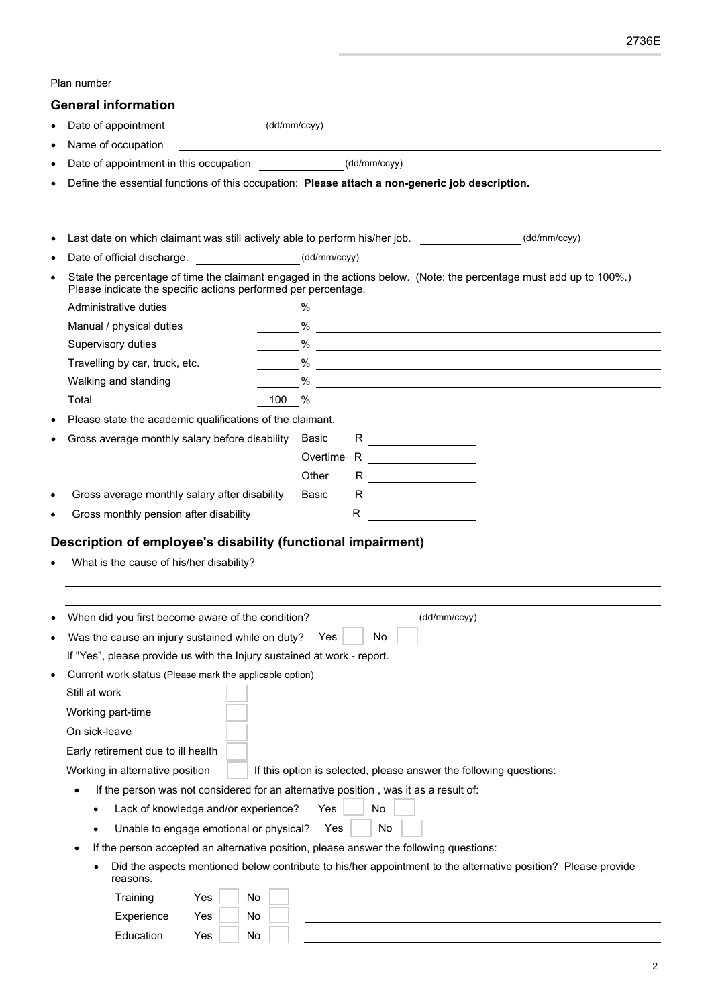| Plan number                                                                          |                                                                                                                                                                                                         |
|--------------------------------------------------------------------------------------|---------------------------------------------------------------------------------------------------------------------------------------------------------------------------------------------------------|
| <b>General information</b>                                                           |                                                                                                                                                                                                         |
| (dd/mm/ccyy)<br>Date of appointment                                                  |                                                                                                                                                                                                         |
| Name of occupation                                                                   |                                                                                                                                                                                                         |
| Date of appointment in this occupation                                               | (dd/mm/ccyy)                                                                                                                                                                                            |
|                                                                                      | Define the essential functions of this occupation: Please attach a non-generic job description.                                                                                                         |
|                                                                                      | Last date on which claimant was still actively able to perform his/her job. [16] (dd/mm/ccyy)                                                                                                           |
| Date of official discharge. _____________________(dd/mm/ccyy)                        |                                                                                                                                                                                                         |
| Please indicate the specific actions performed per percentage.                       | State the percentage of time the claimant engaged in the actions below. (Note: the percentage must add up to 100%.)                                                                                     |
| Administrative duties                                                                |                                                                                                                                                                                                         |
| Manual / physical duties                                                             |                                                                                                                                                                                                         |
| Supervisory duties                                                                   | $\%$                                                                                                                                                                                                    |
| Travelling by car, truck, etc.                                                       | $\%$ $\overline{\phantom{a}}$                                                                                                                                                                           |
| Walking and standing                                                                 |                                                                                                                                                                                                         |
| 100<br>Total                                                                         | $\%$                                                                                                                                                                                                    |
| Please state the academic qualifications of the claimant.                            |                                                                                                                                                                                                         |
| Gross average monthly salary before disability                                       | R<br>Basic                                                                                                                                                                                              |
|                                                                                      | Overtime R                                                                                                                                                                                              |
|                                                                                      | Other<br>R ______________                                                                                                                                                                               |
| Gross average monthly salary after disability                                        | Basic                                                                                                                                                                                                   |
| Gross monthly pension after disability                                               | R<br><u> 1989 - Jan Stein Barnett, fransk konge</u>                                                                                                                                                     |
| What is the cause of his/her disability?                                             |                                                                                                                                                                                                         |
| When did you first become aware of the condition?                                    | (dd/mm/ccyy)                                                                                                                                                                                            |
| Was the cause an injury sustained while on duty?                                     | No<br>Yes                                                                                                                                                                                               |
| If "Yes", please provide us with the Injury sustained at work - report.              |                                                                                                                                                                                                         |
| Current work status (Please mark the applicable option)                              |                                                                                                                                                                                                         |
| Still at work                                                                        |                                                                                                                                                                                                         |
| Working part-time                                                                    |                                                                                                                                                                                                         |
| On sick-leave                                                                        |                                                                                                                                                                                                         |
| Early retirement due to ill health                                                   |                                                                                                                                                                                                         |
|                                                                                      |                                                                                                                                                                                                         |
| Working in alternative position                                                      | If this option is selected, please answer the following questions:                                                                                                                                      |
| If the person was not considered for an alternative position, was it as a result of: |                                                                                                                                                                                                         |
| Lack of knowledge and/or experience?                                                 | No<br>Yes                                                                                                                                                                                               |
| Unable to engage emotional or physical?                                              | No<br>Yes                                                                                                                                                                                               |
| ٠<br>reasons.                                                                        | If the person accepted an alternative position, please answer the following questions:<br>Did the aspects mentioned below contribute to his/her appointment to the alternative position? Please provide |
| Training<br>Yes<br>No                                                                |                                                                                                                                                                                                         |
| Experience<br>No<br>Yes                                                              |                                                                                                                                                                                                         |
|                                                                                      |                                                                                                                                                                                                         |
| Education<br>Yes<br>No                                                               |                                                                                                                                                                                                         |

2736E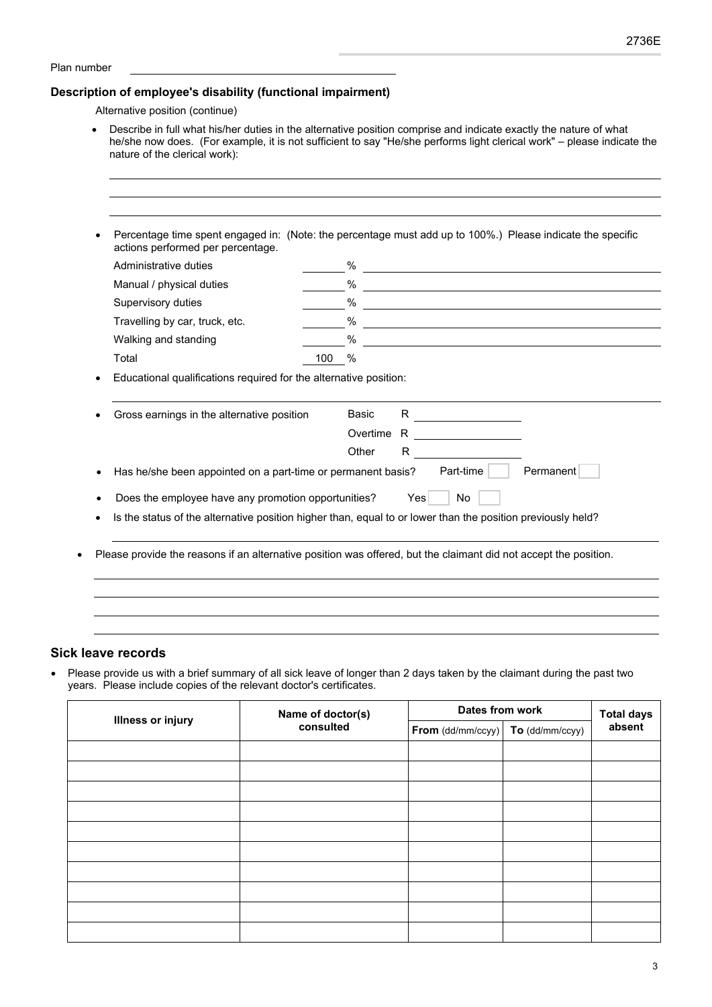#### Plan number

## **Description of employee's disability (functional impairment)**

Alternative position (continue)

 Describe in full what his/her duties in the alternative position comprise and indicate exactly the nature of what he/she now does. (For example, it is not sufficient to say "He/she performs light clerical work" – please indicate the nature of the clerical work):

| Administrative duties                                                                                       |       | %          |     |                                                       | <u> 1980 - Johann Barnett, fransk politik (f. 1980)</u>     |  |
|-------------------------------------------------------------------------------------------------------------|-------|------------|-----|-------------------------------------------------------|-------------------------------------------------------------|--|
| Manual / physical duties                                                                                    |       | $\%$       |     |                                                       |                                                             |  |
| Supervisory duties                                                                                          |       | $\%$       |     |                                                       |                                                             |  |
| Travelling by car, truck, etc.                                                                              |       | $\%$       |     |                                                       | <u> 1980 - Jan Sterling, amerikansk politiker (d. 1980)</u> |  |
| Walking and standing                                                                                        |       | $\%$       |     |                                                       |                                                             |  |
| Total                                                                                                       | 100 % |            |     |                                                       |                                                             |  |
|                                                                                                             |       | Overtime R |     | <u> 1989 - Andrea Station, amerikansk politiker (</u> |                                                             |  |
| Has he/she been appointed on a part-time or permanent basis?                                                |       | Other      | R   | Part-time                                             | Permanent                                                   |  |
| Does the employee have any promotion opportunities?                                                         |       |            | Yes | No                                                    |                                                             |  |
| Is the status of the alternative position higher than, equal to or lower than the position previously held? |       |            |     |                                                       |                                                             |  |
|                                                                                                             |       |            |     |                                                       |                                                             |  |

### **Sick leave records**

 Please provide us with a brief summary of all sick leave of longer than 2 days taken by the claimant during the past two years. Please include copies of the relevant doctor's certificates.

| <b>Illness or injury</b> | Name of doctor(s)<br>consulted | Dates from work   | <b>Total days</b> |        |
|--------------------------|--------------------------------|-------------------|-------------------|--------|
|                          |                                | From (dd/mm/ccyy) | To (dd/mm/ccyy)   | absent |
|                          |                                |                   |                   |        |
|                          |                                |                   |                   |        |
|                          |                                |                   |                   |        |
|                          |                                |                   |                   |        |
|                          |                                |                   |                   |        |
|                          |                                |                   |                   |        |
|                          |                                |                   |                   |        |
|                          |                                |                   |                   |        |
|                          |                                |                   |                   |        |
|                          |                                |                   |                   |        |